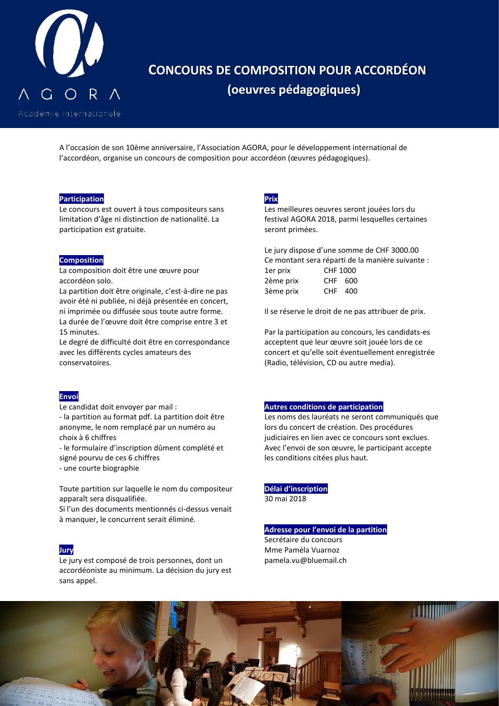

## **CONCOURS DE COMPOSITION POUR ACCORDÉON (oeuvres pédagogiques)**

A l'occasion de son 10ème anniversaire, l'Association AGORA, pour le développement international de l'accordéon, organise un concours de composition pour accordéon (œuvres pédagogiques).

## **Participation**

Le concours est ouvert à tous compositeurs sans limitation d'âge ni distinction de nationalité. La participation est gratuite.

## **Composition**

La composition doit être une œuvre pour accordéon solo.

La partition doit être originale, c'est-à-dire ne pas avoir été ni publiée, ni déjà présentée en concert, ni imprimée ou diffusée sous toute autre forme. La durée de l'œuvre doit être comprise entre 3 et 15 minutes.

Le degré de difficulté doit être en correspondance avec les différents cycles amateurs des conservatoires.

## **Envoi**

Le candidat doit envoyer par mail :

- la partition au format pdf. La partition doit être anonyme, le nom remplacé par un numéro au choix à 6 chiffres

- le formulaire d'inscription dûment complété et signé pourvu de ces 6 chiffres

- une courte biographie

Toute partition sur laquelle le nom du compositeur apparaît sera disqualifiée.

Si l'un des documents mentionnés ci-dessus venait à manquer, le concurrent serait éliminé.

## **Jury**

Le jury est composé de trois personnes, dont un accordéoniste au minimum. La décision du jury est sans appel.

## **Prix**

Les meilleures oeuvres seront jouées lors du festival AGORA 2018, parmi lesquelles certaines seront primées.

Le jury dispose d'une somme de CHF 3000.00 Ce montant sera réparti de la manière suivante : 1er prix CHF 1000

| 2ème prix | CHF 600 |  |
|-----------|---------|--|
| 3ème prix | CHF 400 |  |

Il se réserve le droit de ne pas attribuer de prix.

Par la participation au concours, les candidats-es acceptent que leur œuvre soit jouée lors de ce concert et qu'elle soit éventuellement enregistrée (Radio, télévision, CD ou autre media).

### **Autres conditions de participation**

Les noms des lauréats ne seront communiqués que lors du concert de création. Des procédures judiciaires en lien avec ce concours sont exclues. Avec l'envoi de son œuvre, le participant accepte les conditions citées plus haut.

## **Délai d'inscription**

30 mai 2018

## **Adresse pour l'envoi de la partition**

Secrétaire du concours Mme Paméla Vuarnoz [pamela.vu@bluemail.ch](mailto:pamela.vu@bluemail.ch)

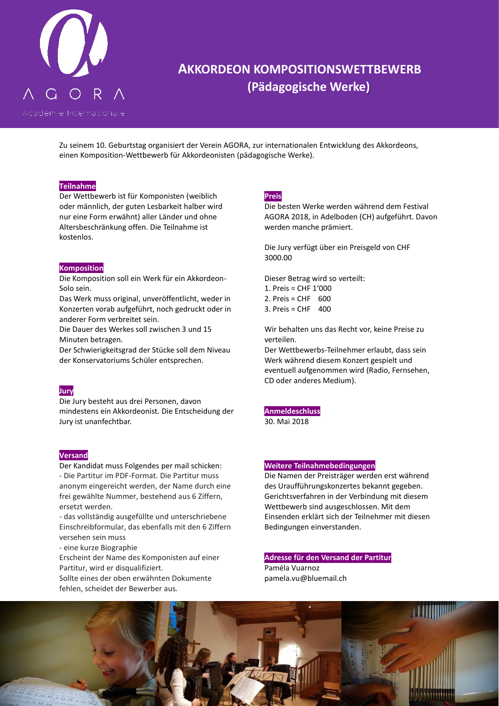

## **AKKORDEON KOMPOSITIONSWETTBEWERB (Pädagogische Werke)**

Zu seinem 10. Geburtstag organisiert der Verein AGORA, zur internationalen Entwicklung des Akkordeons, einen Komposition-Wettbewerb für Akkordeonisten (pädagogische Werke).

## **Teilnahme**

Der Wettbewerb ist für Komponisten (weiblich oder männlich, der guten Lesbarkeit halber wird nur eine Form erwähnt) aller Länder und ohne Altersbeschränkung offen. Die Teilnahme ist kostenlos.

## **Komposition**

Die Komposition soll ein Werk für ein Akkordeon-Solo sein.

Das Werk muss original, unveröffentlicht, weder in Konzerten vorab aufgeführt, noch gedruckt oder in anderer Form verbreitet sein.

Die Dauer des Werkes soll zwischen 3 und 15 Minuten betragen.

Der Schwierigkeitsgrad der Stücke soll dem Niveau der Konservatoriums Schüler entsprechen.

## **Jury**

Die Jury besteht aus drei Personen, davon mindestens ein Akkordeonist. Die Entscheidung der Jury ist unanfechtbar.

## **Versand**

Der Kandidat muss Folgendes per mail schicken:

- Die Partitur im PDF-Format. Die Partitur muss anonym eingereicht werden, der Name durch eine frei gewählte Nummer, bestehend aus 6 Ziffern, ersetzt werden.

- das vollständig ausgefüllte und unterschriebene Einschreibformular, das ebenfalls mit den 6 Ziffern versehen sein muss

- eine kurze Biographie

Erscheint der Name des Komponisten auf einer Partitur, wird er disqualifiziert.

Sollte eines der oben erwähnten Dokumente fehlen, scheidet der Bewerber aus.

## **Preis**

Die besten Werke werden während dem Festival AGORA 2018, in Adelboden (CH) aufgeführt. Davon werden manche prämiert.

Die Jury verfügt über ein Preisgeld von CHF 3000.00

Dieser Betrag wird so verteilt: 1. Preis = CHF 1'000 2. Preis = CHF 600  $3. Preis = CHF 400$ 

Wir behalten uns das Recht vor, keine Preise zu verteilen.

Der Wettbewerbs-Teilnehmer erlaubt, dass sein Werk während diesem Konzert gespielt und eventuell aufgenommen wird (Radio, Fernsehen, CD oder anderes Medium).

**Anmeldeschluss** 30. Mai 2018

## **Weitere Teilnahmebedingungen**

Die Namen der Preisträger werden erst während des Uraufführungskonzertes bekannt gegeben. Gerichtsverfahren in der Verbindung mit diesem Wettbewerb sind ausgeschlossen. Mit dem Einsenden erklärt sich der Teilnehmer mit diesen Bedingungen einverstanden.

## **Adresse für den Versand der Partitur** Paméla Vuarnoz

[pamela.vu@bluemail.ch](mailto:pamela.vu@bluemail.ch)

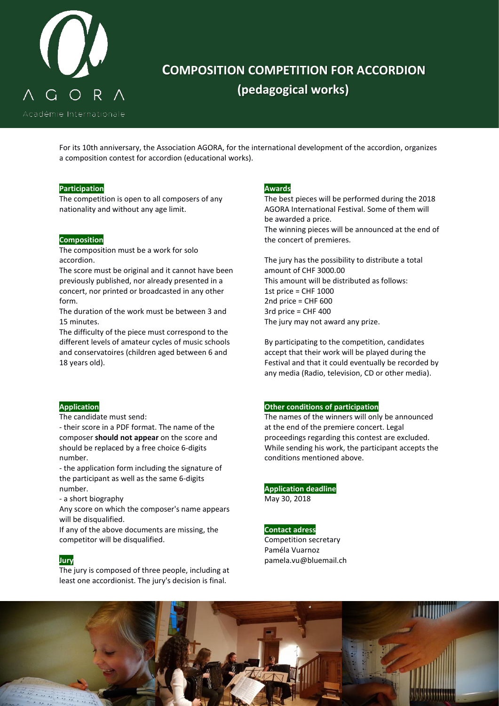

# **COMPOSITION COMPETITION FOR ACCORDION (pedagogical works)**

For its 10th anniversary, the Association AGORA, for the international development of the accordion, organizes a composition contest for accordion (educational works).

## **Participation**

The competition is open to all composers of any nationality and without any age limit.

### **Composition**

The composition must be a work for solo accordion.

The score must be original and it cannot have been previously published, nor already presented in a concert, nor printed or broadcasted in any other form.

The duration of the work must be between 3 and 15 minutes.

The difficulty of the piece must correspond to the different levels of amateur cycles of music schools and conservatoires (children aged between 6 and 18 years old).

## **Application**

The candidate must send:

- their score in a PDF format. The name of the composer **should not appear** on the score and should be replaced by a free choice 6-digits number.

- the application form including the signature of the participant as well as the same 6-digits number.

- a short biography

Any score on which the composer's name appears will be disqualified.

If any of the above documents are missing, the competitor will be disqualified.

## **Jury**

The jury is composed of three people, including at least one accordionist. The jury's decision is final.

#### **Awards**

The best pieces will be performed during the 2018 AGORA International Festival. Some of them will be awarded a price. The winning pieces will be announced at the end of the concert of premieres.

The jury has the possibility to distribute a total amount of CHF 3000.00 This amount will be distributed as follows: 1st price =  $CHF 1000$ 2nd price = CHF 600 3rd price = CHF 400 The jury may not award any prize.

By participating to the competition, candidates accept that their work will be played during the Festival and that it could eventually be recorded by any media (Radio, television, CD or other media).

### **Other conditions of participation**

The names of the winners will only be announced at the end of the premiere concert. Legal proceedings regarding this contest are excluded. While sending his work, the participant accepts the conditions mentioned above.

## **Application deadline**

May 30, 2018

## **Contact adress**

Competition secretary Paméla Vuarnoz [pamela.vu@bluemail.ch](mailto:pamela.vu@bluemail.ch)